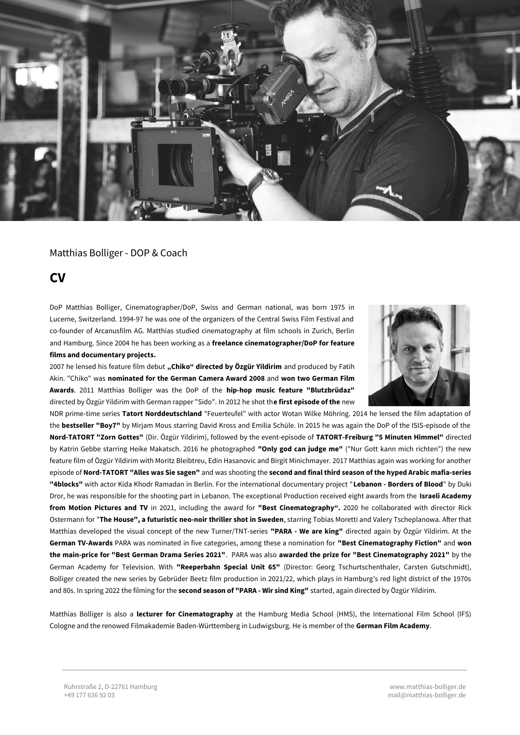

# Matthias Bolliger - DOP & Coach

# **CV**

DoP Matthias Bolliger, Cinematographer/DoP, Swiss and German national, was born 1975 in Lucerne, Switzerland. 1994-97 he was one of the organizers of the Central Swiss Film Festival and co-founder of Arcanusfilm AG. Matthias studied cinematography at film schools in Zurich, Berlin and Hamburg. Since 2004 he has been working as a **freelance cinematographer/DoP for feature films and documentary projects.** 

2007 he lensed his feature film debut **"Chiko" directed by Özgür Yildirim** and produced by Fatih Akin. "Chiko" was **nominated for the German Camera Award 2008** and **won two German Film Awards**. 2011 Matthias Bolliger was the DoP of the **hip-hop music feature "Blutzbrüdaz"** directed by Özgür Yildirim with German rapper "Sido". In 2012 he shot th**e first episode of the** new



NDR prime-time series **Tatort Norddeutschland** "Feuerteufel" with actor Wotan Wilke Möhring. 2014 he lensed the film adaptation of the **bestseller "Boy7"** by Mirjam Mous starring David Kross and Emilia Schüle. In 2015 he was again the DoP of the ISIS-episode of the **Nord-TATORT "Zorn Gottes"** (Dir. Özgür Yildirim), followed by the event-episode of **TATORT-Freiburg "5 Minuten Himmel"** directed by Katrin Gebbe starring Heike Makatsch. 2016 he photographed **"Only god can judge me"** ("Nur Gott kann mich richten") the new feature film of Özgür Yildirim with Moritz Bleibtreu, Edin Hasanovic and Birgit Minichmayer. 2017 Matthias again was working for another episode of **Nord-TATORT "Alles was Sie sagen"** and was shooting the **second and final third season of the hyped Arabic mafia-series "4blocks"** with actor Kida Khodr Ramadan in Berlin. For the international documentary project "**Lebanon - Borders of Blood**" by Duki Dror, he was responsible for the shooting part in Lebanon. The exceptional Production received eight awards from the **Israeli Academy from Motion Pictures and TV** in 2021, including the award for **"Best Cinematography".** 2020 he collaborated with director Rick Ostermann for "**The House", a futuristic neo-noir thriller shot in Sweden**, starring Tobias Moretti and Valery Tscheplanowa. After that Matthias developed the visual concept of the new Turner/TNT-series **"PARA - We are king"** directed again by Özgür Yildirim. At the **German TV-Awards** PARA was nominated in five categories, among these a nomination for **"Best Cinematography Fiction"** and **won the main-price for "Best German Drama Series 2021"**. PARA was also **awarded the prize for "Best Cinematography 2021"** by the German Academy for Television. With **"Reeperbahn Special Unit 65"** (Director: Georg Tschurtschenthaler, Carsten Gutschmidt), Bolliger created the new series by Gebrüder Beetz film production in 2021/22, which plays in Hamburg's red light district of the 1970s and 80s. In spring 2022 the filming for the **second season of "PARA - Wir sind King"** started, again directed by Özgür Yildirim.

Matthias Bolliger is also a **lecturer for Cinematography** at the Hamburg Media School (HMS), the International Film School (IFS) Cologne and the renowed Filmakademie Baden-Württemberg in Ludwigsburg. He is member of the **German Film Academy**.